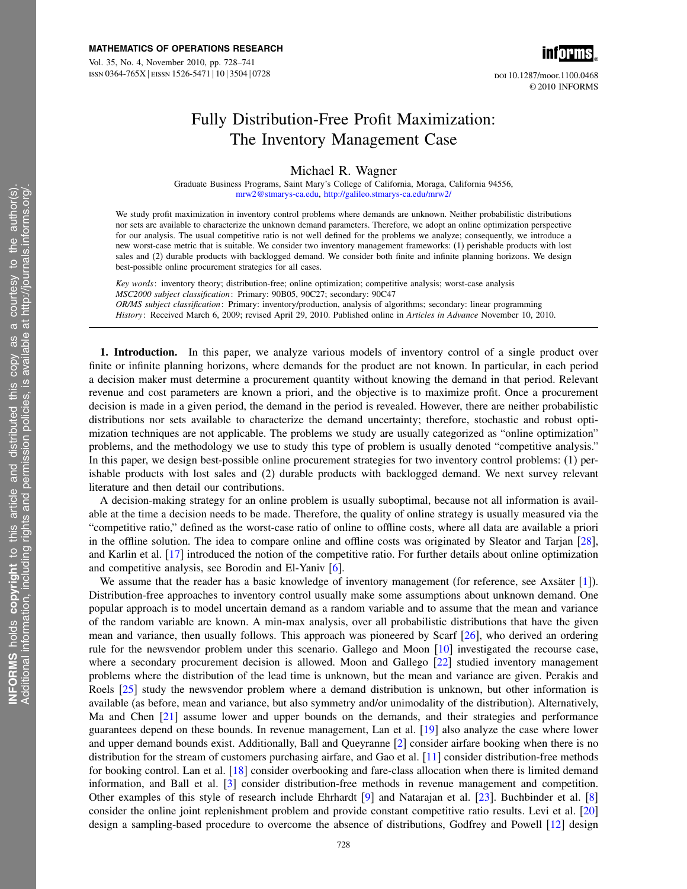Vol. 35, No. 4, November 2010, pp. 728–741 ISSN 0364-765X EISSN 1526-5471 | 10 | 3504 | 0728



doi 10.1287/moor.1100.0468 © 2010 INFORMS

# Fully Distribution-Free Profit Maximization: The Inventory Management Case

Michael R. Wagner

Graduate Business Programs, Saint Mary's College of California, Moraga, California 94556, [mrw2@stmarys-ca.edu,](mailto:mrw2@stmarys-ca.edu) <http://galileo.stmarys-ca.edu/mrw2/>

We study profit maximization in inventory control problems where demands are unknown. Neither probabilistic distributions nor sets are available to characterize the unknown demand parameters. Therefore, we adopt an online optimization perspective for our analysis. The usual competitive ratio is not well defined for the problems we analyze; consequently, we introduce a new worst-case metric that is suitable. We consider two inventory management frameworks: (1) perishable products with lost sales and (2) durable products with backlogged demand. We consider both finite and infinite planning horizons. We design best-possible online procurement strategies for all cases.

Key words: inventory theory; distribution-free; online optimization; competitive analysis; worst-case analysis MSC2000 subject classification: Primary: 90B05, 90C27; secondary: 90C47 OR/MS subject classification: Primary: inventory/production, analysis of algorithms; secondary: linear programming History: Received March 6, 2009; revised April 29, 2010. Published online in Articles in Advance November 10, 2010.

1. Introduction. In this paper, we analyze various models of inventory control of a single product over finite or infinite planning horizons, where demands for the product are not known. In particular, in each period a decision maker must determine a procurement quantity without knowing the demand in that period. Relevant revenue and cost parameters are known a priori, and the objective is to maximize profit. Once a procurement decision is made in a given period, the demand in the period is revealed. However, there are neither probabilistic distributions nor sets available to characterize the demand uncertainty; therefore, stochastic and robust optimization techniques are not applicable. The problems we study are usually categorized as "online optimization" problems, and the methodology we use to study this type of problem is usually denoted "competitive analysis." In this paper, we design best-possible online procurement strategies for two inventory control problems: (1) perishable products with lost sales and (2) durable products with backlogged demand. We next survey relevant literature and then detail our contributions.

A decision-making strategy for an online problem is usually suboptimal, because not all information is available at the time a decision needs to be made. Therefore, the quality of online strategy is usually measured via the "competitive ratio," defined as the worst-case ratio of online to offline costs, where all data are available a priori in the offline solution. The idea to compare online and offline costs was originated by Sleator and Tarjan [\[28\]](#page-13-0), and Karlin et al. [\[17\]](#page-13-0) introduced the notion of the competitive ratio. For further details about online optimization and competitive analysis, see Borodin and El-Yaniv [\[6\]](#page-13-0).

We assume that the reader has a basic knowledge of inventory management (for reference, see Axsäter [\[1\]](#page-13-0)). Distribution-free approaches to inventory control usually make some assumptions about unknown demand. One popular approach is to model uncertain demand as a random variable and to assume that the mean and variance of the random variable are known. A min-max analysis, over all probabilistic distributions that have the given mean and variance, then usually follows. This approach was pioneered by Scarf [\[26\]](#page-13-0), who derived an ordering rule for the newsvendor problem under this scenario. Gallego and Moon [\[10\]](#page-13-0) investigated the recourse case, where a secondary procurement decision is allowed. Moon and Gallego [\[22\]](#page-13-0) studied inventory management problems where the distribution of the lead time is unknown, but the mean and variance are given. Perakis and Roels [\[25\]](#page-13-0) study the newsvendor problem where a demand distribution is unknown, but other information is available (as before, mean and variance, but also symmetry and/or unimodality of the distribution). Alternatively, Ma and Chen [\[21\]](#page-13-0) assume lower and upper bounds on the demands, and their strategies and performance guarantees depend on these bounds. In revenue management, Lan et al. [\[19\]](#page-13-0) also analyze the case where lower and upper demand bounds exist. Additionally, Ball and Queyranne [\[2\]](#page-13-0) consider airfare booking when there is no distribution for the stream of customers purchasing airfare, and Gao et al. [\[11\]](#page-13-0) consider distribution-free methods for booking control. Lan et al. [\[18\]](#page-13-0) consider overbooking and fare-class allocation when there is limited demand information, and Ball et al. [\[3\]](#page-13-0) consider distribution-free methods in revenue management and competition. Other examples of this style of research include Ehrhardt [\[9\]](#page-13-0) and Natarajan et al. [\[23\]](#page-13-0). Buchbinder et al. [\[8\]](#page-13-0) consider the online joint replenishment problem and provide constant competitive ratio results. Levi et al. [\[20\]](#page-13-0) design a sampling-based procedure to overcome the absence of distributions, Godfrey and Powell [\[12\]](#page-13-0) design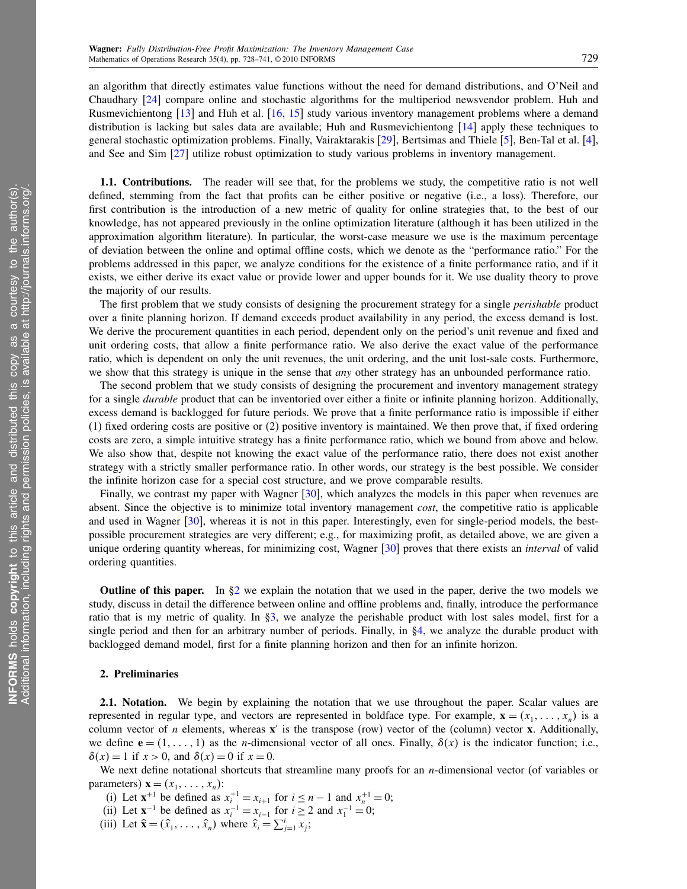an algorithm that directly estimates value functions without the need for demand distributions, and O'Neil and Chaudhary [\[24\]](#page-13-0) compare online and stochastic algorithms for the multiperiod newsvendor problem. Huh and Rusmevichientong [\[13\]](#page-13-0) and Huh et al. [\[16,](#page-13-0) [15\]](#page-13-0) study various inventory management problems where a demand distribution is lacking but sales data are available; Huh and Rusmevichientong [\[14\]](#page-13-0) apply these techniques to general stochastic optimization problems. Finally, Vairaktarakis [\[29\]](#page-13-0), Bertsimas and Thiele [\[5\]](#page-13-0), Ben-Tal et al. [\[4\]](#page-13-0), and See and Sim [\[27\]](#page-13-0) utilize robust optimization to study various problems in inventory management.

1.1. Contributions. The reader will see that, for the problems we study, the competitive ratio is not well defined, stemming from the fact that profits can be either positive or negative (i.e., a loss). Therefore, our first contribution is the introduction of a new metric of quality for online strategies that, to the best of our knowledge, has not appeared previously in the online optimization literature (although it has been utilized in the approximation algorithm literature). In particular, the worst-case measure we use is the maximum percentage of deviation between the online and optimal offline costs, which we denote as the "performance ratio." For the problems addressed in this paper, we analyze conditions for the existence of a finite performance ratio, and if it exists, we either derive its exact value or provide lower and upper bounds for it. We use duality theory to prove the majority of our results.

The first problem that we study consists of designing the procurement strategy for a single *perishable* product over a finite planning horizon. If demand exceeds product availability in any period, the excess demand is lost. We derive the procurement quantities in each period, dependent only on the period's unit revenue and fixed and unit ordering costs, that allow a finite performance ratio. We also derive the exact value of the performance ratio, which is dependent on only the unit revenues, the unit ordering, and the unit lost-sale costs. Furthermore, we show that this strategy is unique in the sense that *any* other strategy has an unbounded performance ratio.

The second problem that we study consists of designing the procurement and inventory management strategy for a single *durable* product that can be inventoried over either a finite or infinite planning horizon. Additionally, excess demand is backlogged for future periods. We prove that a finite performance ratio is impossible if either (1) fixed ordering costs are positive or (2) positive inventory is maintained. We then prove that, if fixed ordering costs are zero, a simple intuitive strategy has a finite performance ratio, which we bound from above and below. We also show that, despite not knowing the exact value of the performance ratio, there does not exist another strategy with a strictly smaller performance ratio. In other words, our strategy is the best possible. We consider the infinite horizon case for a special cost structure, and we prove comparable results.

Finally, we contrast my paper with Wagner [\[30\]](#page-13-0), which analyzes the models in this paper when revenues are absent. Since the objective is to minimize total inventory management *cost*, the competitive ratio is applicable and used in Wagner [\[30\]](#page-13-0), whereas it is not in this paper. Interestingly, even for single-period models, the bestpossible procurement strategies are very different; e.g., for maximizing profit, as detailed above, we are given a unique ordering quantity whereas, for minimizing cost, Wagner [\[30\]](#page-13-0) proves that there exists an *interval* of valid ordering quantities.

Outline of this paper. In §2 we explain the notation that we used in the paper, derive the two models we study, discuss in detail the difference between online and offline problems and, finally, introduce the performance ratio that is my metric of quality. In [§3,](#page-4-0) we analyze the perishable product with lost sales model, first for a single period and then for an arbitrary number of periods. Finally, in [§4,](#page-7-0) we analyze the durable product with backlogged demand model, first for a finite planning horizon and then for an infinite horizon.

### 2. Preliminaries

2.1. Notation. We begin by explaining the notation that we use throughout the paper. Scalar values are represented in regular type, and vectors are represented in boldface type. For example,  $\mathbf{x} = (x_1, \dots, x_n)$  is a column vector of *n* elements, whereas  $x'$  is the transpose (row) vector of the (column) vector x. Additionally, we define  $e = (1, \ldots, 1)$  as the *n*-dimensional vector of all ones. Finally,  $\delta(x)$  is the indicator function; i.e.,  $\delta(x) = 1$  if  $x > 0$ , and  $\delta(x) = 0$  if  $x = 0$ .

We next define notational shortcuts that streamline many proofs for an  $n$ -dimensional vector (of variables or parameters)  $\mathbf{x} = (x_1, \dots, x_n)$ :

(i) Let  $x^{+1}$  be defined as  $x_i^{+1} = x_{i+1}$  for  $i \le n-1$  and  $x_n^{+1} = 0$ ;

- (ii) Let  $x^{-1}$  be defined as  $x_i^{-1} = x_{i-1}$  for  $i \ge 2$  and  $x_1^{-1} = 0$ ;
- (iii) Let  $\hat{\mathbf{x}} = (\hat{x}_1, \dots, \hat{x}_n)$  where  $\hat{x}_i = \sum_{j=1}^i x_j$ ;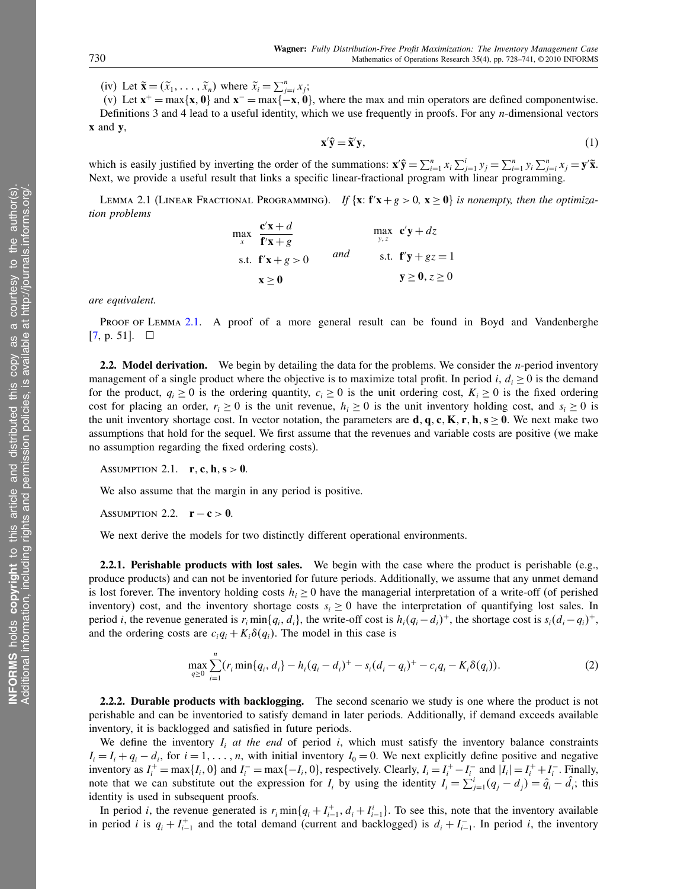(iv) Let  $\tilde{\mathbf{x}} = (\tilde{x}_1, \dots, \tilde{x}_n)$  where  $\tilde{x}_i = \sum_{j=i}^n x_j$ ;

<span id="page-2-0"></span>(v) Let  $x^+ = \max\{x, 0\}$  and  $x^- = \max\{-x, 0\}$ , where the max and min operators are defined componentwise. Definitions 3 and 4 lead to a useful identity, which we use frequently in proofs. For any  $n$ -dimensional vectors x and y,

$$
\mathbf{x}'\hat{\mathbf{y}} = \tilde{\mathbf{x}}'\mathbf{y},\tag{1}
$$

which is easily justified by inverting the order of the summations:  $\mathbf{x}'\hat{\mathbf{y}} = \sum_{i=1}^{n} x_i \sum_{j=1}^{i} y_j = \sum_{i=1}^{n} y_i \sum_{j=i}^{n} x_j = \mathbf{y}'\tilde{\mathbf{x}}$ . Next, we provide a useful result that links a specific linear-fractional program with linear programming.

LEMMA 2.1 (LINEAR FRACTIONAL PROGRAMMING). If  $\{x: f'x + g > 0, x \ge 0\}$  is nonempty, then the optimization problems

$$
\begin{array}{ll}\n\max x & \frac{\mathbf{c}'\mathbf{x} + d}{\mathbf{f}'\mathbf{x} + g} & \max x & \frac{\mathbf{c}'\mathbf{y} + dz}{y, z} \\
\text{s.t.} & \mathbf{f}'\mathbf{x} + g > 0 & \text{and} & \text{s.t. } \mathbf{f}'\mathbf{y} + gz = 1 \\
& \mathbf{x} \geq \mathbf{0} & \mathbf{y} \geq \mathbf{0}, z \geq 0\n\end{array}
$$

are equivalent.

Proof of Lemma 2.1. A proof of a more general result can be found in Boyd and Vandenberghe  $[7, p. 51]$  $[7, p. 51]$ .  $\Box$ 

**2.2. Model derivation.** We begin by detailing the data for the problems. We consider the *n*-period inventory management of a single product where the objective is to maximize total profit. In period i,  $d_i \ge 0$  is the demand for the product,  $q_i \ge 0$  is the ordering quantity,  $c_i \ge 0$  is the unit ordering cost,  $K_i \ge 0$  is the fixed ordering cost for placing an order,  $r_i \ge 0$  is the unit revenue,  $h_i \ge 0$  is the unit inventory holding cost, and  $s_i \ge 0$  is the unit inventory shortage cost. In vector notation, the parameters are  $d, q, c, K, r, h, s \ge 0$ . We next make two assumptions that hold for the sequel. We first assume that the revenues and variable costs are positive (we make no assumption regarding the fixed ordering costs).

ASSUMPTION 2.1.  $r, c, h, s > 0$ .

We also assume that the margin in any period is positive.

ASSUMPTION 2.2.  $r - c > 0$ .

We next derive the models for two distinctly different operational environments.

2.2.1. Perishable products with lost sales. We begin with the case where the product is perishable (e.g., produce products) and can not be inventoried for future periods. Additionally, we assume that any unmet demand is lost forever. The inventory holding costs  $h_i \geq 0$  have the managerial interpretation of a write-off (of perished inventory) cost, and the inventory shortage costs  $s_i \ge 0$  have the interpretation of quantifying lost sales. In period *i*, the revenue generated is  $r_i \min\{q_i, d_i\}$ , the write-off cost is  $h_i(q_i - d_i)^+$ , the shortage cost is  $s_i(d_i - q_i)^+$ , and the ordering costs are  $c_iq_i + K_i\delta(q_i)$ . The model in this case is

$$
\max_{q\geq 0} \sum_{i=1}^{n} (r_i \min\{q_i, d_i\} - h_i (q_i - d_i)^+ - s_i (d_i - q_i)^+ - c_i q_i - K_i \delta(q_i)). \tag{2}
$$

2.2.2. Durable products with backlogging. The second scenario we study is one where the product is not perishable and can be inventoried to satisfy demand in later periods. Additionally, if demand exceeds available inventory, it is backlogged and satisfied in future periods.

We define the inventory  $I_i$  at the end of period i, which must satisfy the inventory balance constraints  $I_i = I_i + q_i - d_i$ , for  $i = 1, \dots, n$ , with initial inventory  $I_0 = 0$ . We next explicitly define positive and negative inventory as  $I_i^+ = \max\{I_i, 0\}$  and  $I_i^- = \max\{-I_i, 0\}$ , respectively. Clearly,  $I_i = I_i^+ - I_i^-$  and  $|I_i| = I_i^+ + I_i^-$ . Finally, note that we can substitute out the expression for  $I_i$  by using the identity  $I_i = \sum_{j=1}^{i} (q_j - d_j) = \hat{q}_i - \hat{d}_i$ ; this identity is used in subsequent proofs.

In period *i*, the revenue generated is  $r_i \min\{q_i + I_{i-1}^+, d_i + I_{i-1}^i\}$ . To see this, note that the inventory available in period *i* is  $q_i + I_{i-1}^+$  and the total demand (current and backlogged) is  $d_i + I_{i-1}^-$ . In period *i*, the inventory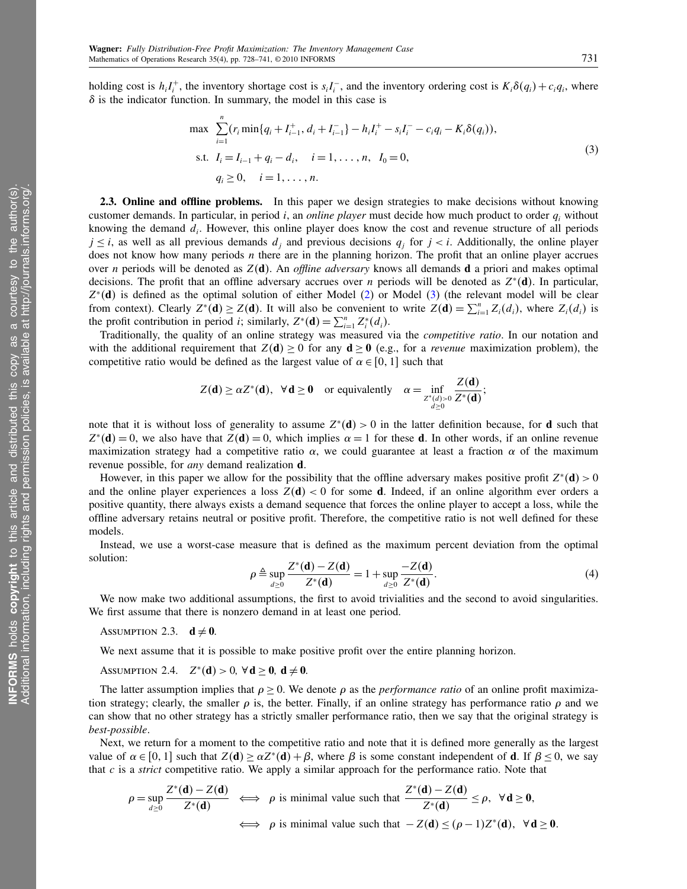<span id="page-3-0"></span>holding cost is  $h_i I_i^+$ , the inventory shortage cost is  $s_i I_i^-$ , and the inventory ordering cost is  $K_i \delta(q_i) + c_i q_i$ , where  $\delta$  is the indicator function. In summary, the model in this case is

$$
\max \sum_{i=1}^{n} (r_i \min\{q_i + I_{i-1}^+, d_i + I_{i-1}^- \} - h_i I_i^+ - s_i I_i^- - c_i q_i - K_i \delta(q_i)),
$$
  
s.t.  $I_i = I_{i-1} + q_i - d_i, \quad i = 1, ..., n, \ I_0 = 0,$   
 $q_i \ge 0, \quad i = 1, ..., n.$  (3)

2.3. Online and offline problems. In this paper we design strategies to make decisions without knowing customer demands. In particular, in period i, an *online player* must decide how much product to order  $q_i$  without knowing the demand  $d_i$ . However, this online player does know the cost and revenue structure of all periods  $j \leq i$ , as well as all previous demands  $d_j$  and previous decisions  $q_j$  for  $j < i$ . Additionally, the online player does not know how many periods  $n$  there are in the planning horizon. The profit that an online player accrues over *n* periods will be denoted as  $Z(d)$ . An *offline adversary* knows all demands **d** a priori and makes optimal decisions. The profit that an offline adversary accrues over *n* periods will be denoted as  $Z^*(d)$ . In particular,  $Z^*(d)$  is defined as the optimal solution of either Model [\(2\)](#page-2-0) or Model (3) (the relevant model will be clear from context). Clearly  $Z^*(\mathbf{d}) \ge Z(\mathbf{d})$ . It will also be convenient to write  $Z(\mathbf{d}) = \sum_{i=1}^n Z_i(d_i)$ , where  $Z_i(d_i)$  is the profit contribution in period *i*; similarly,  $Z^*(d) = \sum_{i=1}^n Z_i^*(d_i)$ .

Traditionally, the quality of an online strategy was measured via the *competitive ratio*. In our notation and with the additional requirement that  $Z(\mathbf{d}) \geq 0$  for any  $\mathbf{d} \geq \mathbf{0}$  (e.g., for a *revenue* maximization problem), the competitive ratio would be defined as the largest value of  $\alpha \in [0, 1]$  such that

$$
Z(\mathbf{d}) \ge \alpha Z^*(\mathbf{d}), \ \ \forall \mathbf{d} \ge \mathbf{0} \quad \text{or equivalently} \quad \alpha = \inf_{\substack{Z^*(d) > 0 \\ d \ge 0}} \frac{Z(\mathbf{d})}{Z^*(\mathbf{d})};
$$

note that it is without loss of generality to assume  $Z^*(d) > 0$  in the latter definition because, for d such that  $Z^*(d) = 0$ , we also have that  $Z(d) = 0$ , which implies  $\alpha = 1$  for these d. In other words, if an online revenue maximization strategy had a competitive ratio  $\alpha$ , we could guarantee at least a fraction  $\alpha$  of the maximum revenue possible, for any demand realization d.

However, in this paper we allow for the possibility that the offline adversary makes positive profit  $Z^*(d) > 0$ and the online player experiences a loss  $Z(d) < 0$  for some d. Indeed, if an online algorithm ever orders a positive quantity, there always exists a demand sequence that forces the online player to accept a loss, while the offline adversary retains neutral or positive profit. Therefore, the competitive ratio is not well defined for these models.

Instead, we use a worst-case measure that is defined as the maximum percent deviation from the optimal solution:

$$
\rho \triangleq \sup_{d \ge 0} \frac{Z^*(\mathbf{d}) - Z(\mathbf{d})}{Z^*(\mathbf{d})} = 1 + \sup_{d \ge 0} \frac{-Z(\mathbf{d})}{Z^*(\mathbf{d})}.
$$
\n(4)

We now make two additional assumptions, the first to avoid trivialities and the second to avoid singularities. We first assume that there is nonzero demand in at least one period.

ASSUMPTION 2.3.  $d \neq 0$ .

We next assume that it is possible to make positive profit over the entire planning horizon.

ASSUMPTION 2.4.  $Z^*(d) > 0$ ,  $\forall d \ge 0$ ,  $d \ne 0$ .

The latter assumption implies that  $\rho \ge 0$ . We denote  $\rho$  as the *performance ratio* of an online profit maximization strategy; clearly, the smaller  $\rho$  is, the better. Finally, if an online strategy has performance ratio  $\rho$  and we can show that no other strategy has a strictly smaller performance ratio, then we say that the original strategy is best-possible.

Next, we return for a moment to the competitive ratio and note that it is defined more generally as the largest value of  $\alpha \in [0, 1]$  such that  $Z(\mathbf{d}) \geq \alpha Z^*(\mathbf{d}) + \beta$ , where  $\beta$  is some constant independent of d. If  $\beta \leq 0$ , we say that  $c$  is a *strict* competitive ratio. We apply a similar approach for the performance ratio. Note that

$$
\rho = \sup_{d \ge 0} \frac{Z^*(d) - Z(d)}{Z^*(d)} \iff \rho \text{ is minimal value such that } \frac{Z^*(d) - Z(d)}{Z^*(d)} \le \rho, \ \forall d \ge 0,
$$
  

$$
\iff \rho \text{ is minimal value such that } -Z(d) \le (\rho - 1)Z^*(d), \ \forall d \ge 0.
$$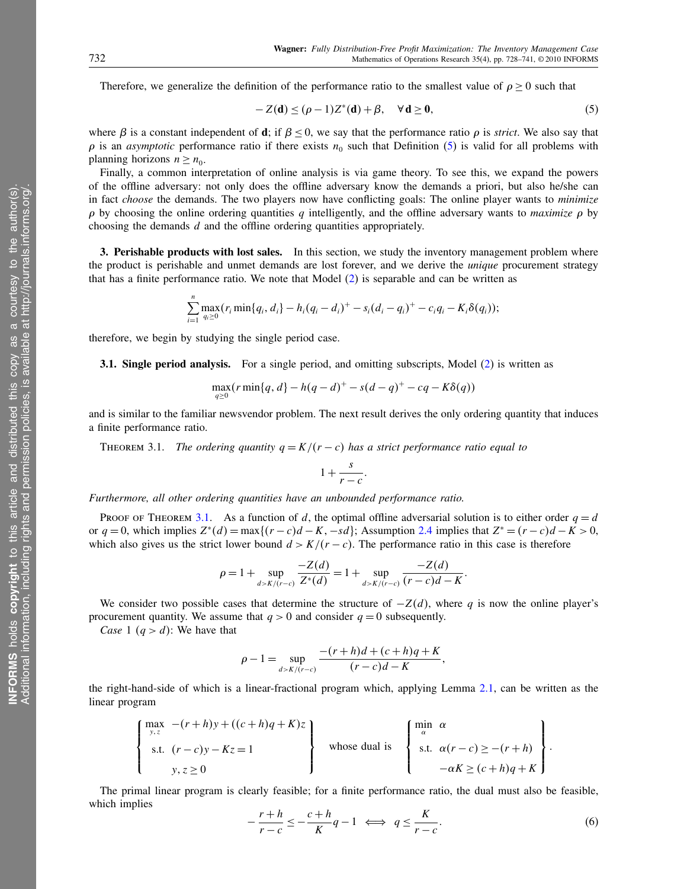<span id="page-4-0"></span>Therefore, we generalize the definition of the performance ratio to the smallest value of  $\rho \ge 0$  such that

$$
-Z(\mathbf{d}) \le (\rho - 1)Z^*(\mathbf{d}) + \beta, \quad \forall \mathbf{d} \ge \mathbf{0},\tag{5}
$$

where  $\beta$  is a constant independent of **d**; if  $\beta \le 0$ , we say that the performance ratio  $\rho$  is *strict*. We also say that  $\rho$  is an *asymptotic* performance ratio if there exists  $n_0$  such that Definition (5) is valid for all problems with planning horizons  $n \geq n_0$ .

Finally, a common interpretation of online analysis is via game theory. To see this, we expand the powers of the offline adversary: not only does the offline adversary know the demands a priori, but also he/she can in fact *choose* the demands. The two players now have conflicting goals: The online player wants to *minimize*  $\rho$  by choosing the online ordering quantities q intelligently, and the offline adversary wants to maximize  $\rho$  by choosing the demands  $d$  and the offline ordering quantities appropriately.

**3. Perishable products with lost sales.** In this section, we study the inventory management problem where the product is perishable and unmet demands are lost forever, and we derive the *unique* procurement strategy that has a finite performance ratio. We note that Model [\(2\)](#page-2-0) is separable and can be written as

$$
\sum_{i=1}^n \max_{q_i \geq 0} (r_i \min\{q_i, d_i\} - h_i(q_i - d_i)^+ - s_i(d_i - q_i)^+ - c_iq_i - K_i\delta(q_i));
$$

therefore, we begin by studying the single period case.

**3.1. Single period analysis.** For a single period, and omitting subscripts, Model [\(2\)](#page-2-0) is written as

$$
\max_{q\geq 0} (r \min\{q, d\} - h(q - d)^{+} - s(d - q)^{+} - cq - K\delta(q))
$$

and is similar to the familiar newsvendor problem. The next result derives the only ordering quantity that induces a finite performance ratio.

THEOREM 3.1. The ordering quantity  $q = K/(r - c)$  has a strict performance ratio equal to

$$
1+\frac{s}{r-c}.
$$

Furthermore, all other ordering quantities have an unbounded performance ratio.

PROOF OF THEOREM 3.1. As a function of d, the optimal offline adversarial solution is to either order  $q = d$ or  $q = 0$ , which implies  $Z^*(d) = \max\{(r - c)d - K, -sd\}$ ; Assumption [2.4](#page-3-0) implies that  $Z^* = (r - c)d - K > 0$ , which also gives us the strict lower bound  $d > K/(r - c)$ . The performance ratio in this case is therefore

$$
\rho = 1 + \sup_{d > K/(r-c)} \frac{-Z(d)}{Z^*(d)} = 1 + \sup_{d > K/(r-c)} \frac{-Z(d)}{(r-c)d-K}.
$$

We consider two possible cases that determine the structure of  $-Z(d)$ , where q is now the online player's procurement quantity. We assume that  $q > 0$  and consider  $q = 0$  subsequently.

*Case* 1 ( $q > d$ ): We have that

$$
\rho - 1 = \sup_{d > K/(r-c)} \frac{-(r+h)d + (c+h)q + K}{(r-c)d - K},
$$

the right-hand-side of which is a linear-fractional program which, applying Lemma [2.1,](#page-2-0) can be written as the linear program

$$
\begin{cases}\n\max_{y,z} -(r+h)y + ((c+h)q + K)z \\
\text{s.t. } (r-c)y - Kz = 1 \\
y, z \ge 0\n\end{cases}
$$
\nwhose dual is\n
$$
\begin{cases}\n\min_{\alpha} \alpha \\
\text{s.t. } \alpha(r-c) \ge -(r+h) \\
-\alpha K \ge (c+h)q + K\n\end{cases}
$$

The primal linear program is clearly feasible; for a finite performance ratio, the dual must also be feasible, which implies

$$
-\frac{r+h}{r-c} \le -\frac{c+h}{K}q - 1 \iff q \le \frac{K}{r-c}.\tag{6}
$$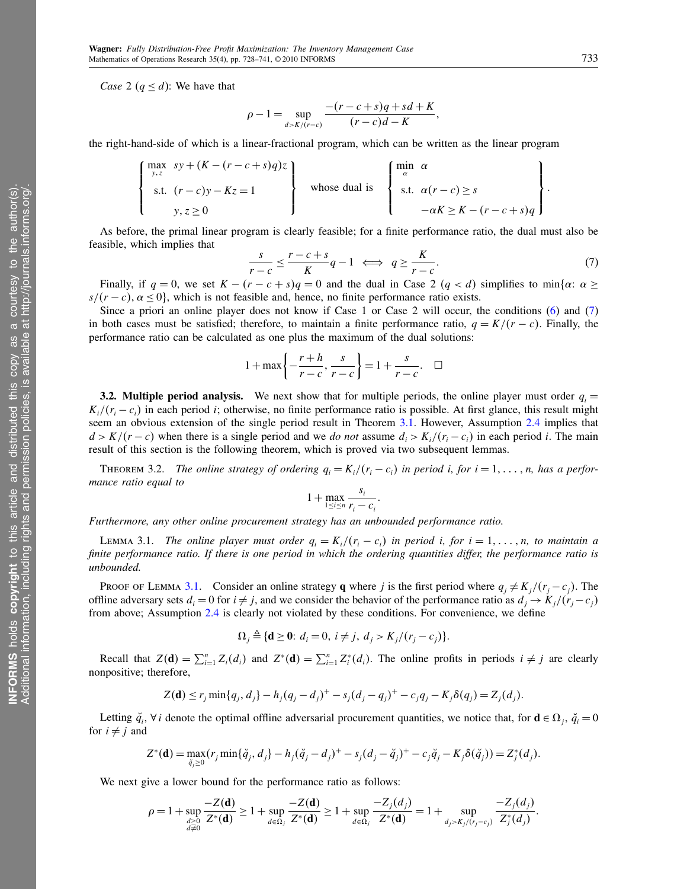Case 2 ( $q \leq d$ ): We have that

$$
\rho - 1 = \sup_{d > K/(r-c)} \frac{-(r-c+s)q + sd + K}{(r-c)d - K},
$$

the right-hand-side of which is a linear-fractional program, which can be written as the linear program

$$
\begin{cases}\n\max_{y,z} sy + (K - (r - c + s)q)z \\
\text{s.t. } (r - c)y - Kz = 1 \\
y, z \ge 0\n\end{cases}\n\text{ whose dual is }\n\begin{cases}\n\min_{\alpha} \alpha \\
\text{s.t. } \alpha(r - c) \ge s \\
-\alpha K \ge K - (r - c + s)q\n\end{cases}.
$$

As before, the primal linear program is clearly feasible; for a finite performance ratio, the dual must also be feasible, which implies that

$$
\frac{s}{r-c} \le \frac{r-c+s}{K}q-1 \iff q \ge \frac{K}{r-c}.\tag{7}
$$

Finally, if  $q = 0$ , we set  $K - (r - c + s)q = 0$  and the dual in Case 2  $(q < d)$  simplifies to min{ $\alpha$ :  $\alpha \ge$  $s/(r - c)$ ,  $\alpha \le 0$ , which is not feasible and, hence, no finite performance ratio exists.

Since a priori an online player does not know if Case 1 or Case 2 will occur, the conditions [\(6\)](#page-4-0) and (7) in both cases must be satisfied; therefore, to maintain a finite performance ratio,  $q = K/(r - c)$ . Finally, the performance ratio can be calculated as one plus the maximum of the dual solutions:

$$
1 + \max\left\{-\frac{r+h}{r-c}, \frac{s}{r-c}\right\} = 1 + \frac{s}{r-c}.\quad \Box
$$

**3.2. Multiple period analysis.** We next show that for multiple periods, the online player must order  $q_i =$  $K_i/(r_i - c_i)$  in each period i; otherwise, no finite performance ratio is possible. At first glance, this result might seem an obvious extension of the single period result in Theorem [3.1.](#page-4-0) However, Assumption [2.4](#page-3-0) implies that  $d > K/(r - c)$  when there is a single period and we do not assume  $d_i > K/(r_i - c_i)$  in each period i. The main result of this section is the following theorem, which is proved via two subsequent lemmas.

THEOREM 3.2. The online strategy of ordering  $q_i = K_i/(r_i - c_i)$  in period i, for  $i = 1, \ldots, n$ , has a performance ratio equal to

$$
1+\max_{1\leq i\leq n}\frac{s_i}{r_i-c_i}.
$$

Furthermore, any other online procurement strategy has an unbounded performance ratio.

LEMMA 3.1. The online player must order  $q_i = K_i/(r_i - c_i)$  in period i, for  $i = 1, \ldots, n$ , to maintain a finite performance ratio. If there is one period in which the ordering quantities differ, the performance ratio is unbounded.

PROOF OF LEMMA 3.1. Consider an online strategy q where j is the first period where  $q_i \neq K_j/(r_i - c_j)$ . The offline adversary sets  $d_i = 0$  for  $i \neq j$ , and we consider the behavior of the performance ratio as  $d_i \rightarrow K_i/(r_i - c_j)$ from above; Assumption [2.4](#page-3-0) is clearly not violated by these conditions. For convenience, we define

$$
\Omega_j \triangleq \{ \mathbf{d} \ge \mathbf{0}: d_i = 0, i \ne j, d_j > K_j / (r_j - c_j) \}.
$$

Recall that  $Z(\mathbf{d}) = \sum_{i=1}^{n} Z_i(d_i)$  and  $Z^*(\mathbf{d}) = \sum_{i=1}^{n} Z_i^*(d_i)$ . The online profits in periods  $i \neq j$  are clearly nonpositive; therefore,

$$
Z(\mathbf{d}) \le r_j \min\{q_j, d_j\} - h_j(q_j - d_j)^+ - s_j(d_j - q_j)^+ - c_j q_j - K_j \delta(q_j) = Z_j(d_j).
$$

Letting  $\check{q}_i$ ,  $\forall i$  denote the optimal offline adversarial procurement quantities, we notice that, for  $\mathbf{d} \in \Omega_i$ ,  $\check{q}_i = 0$ for  $i \neq j$  and

$$
Z^*(\mathbf{d}) = \max_{\check{q}_j \ge 0} (r_j \min\{\check{q}_j, d_j\} - h_j(\check{q}_j - d_j)^+ - s_j(d_j - \check{q}_j)^+ - c_j \check{q}_j - K_j \delta(\check{q}_j)) = Z_j^*(d_j).
$$

We next give a lower bound for the performance ratio as follows:

$$
\rho = 1 + \sup_{\substack{d \geq 0 \\ d \neq 0}} \frac{-Z(\mathbf{d})}{Z^*(\mathbf{d})} \geq 1 + \sup_{d \in \Omega_j} \frac{-Z(\mathbf{d})}{Z^*(\mathbf{d})} \geq 1 + \sup_{d \in \Omega_j} \frac{-Z_j(d_j)}{Z^*(\mathbf{d})} = 1 + \sup_{d_j > K_j/(r_j - c_j)} \frac{-Z_j(d_j)}{Z^*_j(d_j)}.
$$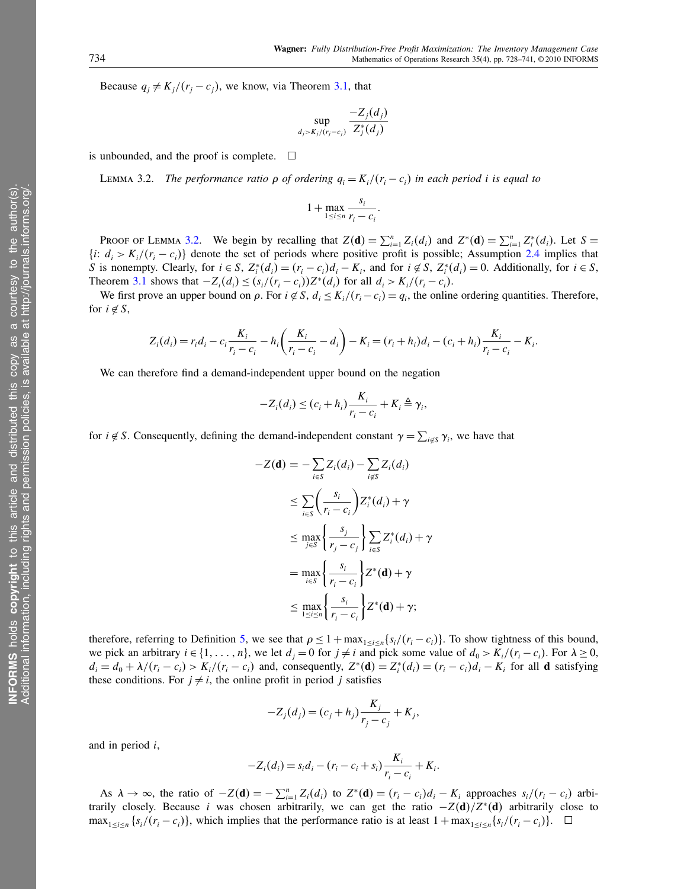Because  $q_j \neq K_j/(r_j - c_j)$ , we know, via Theorem [3.1,](#page-4-0) that

$$
\sup_{d_j > K_j/(r_j - c_j)} \frac{-Z_j(d_j)}{Z_j^*(d_j)}
$$

is unbounded, and the proof is complete.  $\Box$ 

LEMMA 3.2. The performance ratio  $\rho$  of ordering  $q_i = K_i/(r_i - c_i)$  in each period i is equal to

$$
1+\max_{1\leq i\leq n}\frac{s_i}{r_i-c_i}.
$$

PROOF OF LEMMA 3.2. We begin by recalling that  $Z(\mathbf{d}) = \sum_{i=1}^{n} Z_i(d_i)$  and  $Z^*(\mathbf{d}) = \sum_{i=1}^{n} Z_i^*(d_i)$ . Let  $S =$  $\{i: d_i > K_i/((r_i - c_i)\}\)$  denote the set of periods where positive profit is possible; Assumption [2.4](#page-3-0) implies that S is nonempty. Clearly, for  $i \in S$ ,  $Z_i^*(d_i) = (r_i - c_i)d_i - K_i$ , and for  $i \notin S$ ,  $Z_i^*(d_i) = 0$ . Additionally, for  $i \in S$ , Theorem [3.1](#page-4-0) shows that  $-Z_i(d_i) \le (s_i/(r_i - c_i))Z^*(d_i)$  for all  $d_i > K_i/(r_i - c_i)$ .

We first prove an upper bound on  $\rho$ . For  $i \notin S$ ,  $d_i \leq K_i/(r_i - c_i) = q_i$ , the online ordering quantities. Therefore, for  $i \notin S$ ,

$$
Z_i(d_i) = r_i d_i - c_i \frac{K_i}{r_i - c_i} - h_i \left( \frac{K_i}{r_i - c_i} - d_i \right) - K_i = (r_i + h_i) d_i - (c_i + h_i) \frac{K_i}{r_i - c_i} - K_i.
$$

We can therefore find a demand-independent upper bound on the negation

$$
-Z_i(d_i) \le (c_i + h_i) \frac{K_i}{r_i - c_i} + K_i \triangleq \gamma_i,
$$

for  $i \notin S$ . Consequently, defining the demand-independent constant  $\gamma = \sum_{i \notin S} \gamma_i$ , we have that

$$
-Z(\mathbf{d}) = -\sum_{i \in S} Z_i(d_i) - \sum_{i \notin S} Z_i(d_i)
$$
  
\n
$$
\leq \sum_{i \in S} \left( \frac{s_i}{r_i - c_i} \right) Z_i^*(d_i) + \gamma
$$
  
\n
$$
\leq \max_{j \in S} \left\{ \frac{s_j}{r_j - c_j} \right\} \sum_{i \in S} Z_i^*(d_i) + \gamma
$$
  
\n
$$
= \max_{i \in S} \left\{ \frac{s_i}{r_i - c_i} \right\} Z^*(\mathbf{d}) + \gamma
$$
  
\n
$$
\leq \max_{1 \leq i \leq n} \left\{ \frac{s_i}{r_i - c_i} \right\} Z^*(\mathbf{d}) + \gamma;
$$

therefore, referring to Definition [5,](#page-4-0) we see that  $\rho \leq 1 + \max_{1 \leq i \leq n} \{ s_i / (r_i - c_i) \}$ . To show tightness of this bound, we pick an arbitrary  $i \in \{1, \ldots, n\}$ , we let  $d_i = 0$  for  $j \neq i$  and pick some value of  $d_0 > K_i/(r_i - c_i)$ . For  $\lambda \geq 0$ ,  $d_i = d_0 + \lambda/(r_i - c_i) > K_i/(r_i - c_i)$  and, consequently,  $Z^*(d) = Z_i^*(d_i) = (r_i - c_i)d_i - K_i$  for all d satisfying these conditions. For  $j \neq i$ , the online profit in period j satisfies

$$
-Z_j(d_j) = (c_j + h_j) \frac{K_j}{r_j - c_j} + K_j,
$$

and in period i,

$$
-Z_i(d_i) = s_i d_i - (r_i - c_i + s_i) \frac{K_i}{r_i - c_i} + K_i.
$$

As  $\lambda \to \infty$ , the ratio of  $-Z(\mathbf{d}) = -\sum_{i=1}^{n} Z_i(d_i)$  to  $Z^*(\mathbf{d}) = (r_i - c_i)d_i - K_i$  approaches  $s_i/(r_i - c_i)$  arbitrarily closely. Because i was chosen arbitrarily, we can get the ratio  $-Z(d)/Z<sup>*</sup>(d)$  arbitrarily close to max<sub>1≤i≤n</sub> {s<sub>i</sub>/(r<sub>i</sub> – c<sub>i</sub>)}, which implies that the performance ratio is at least 1 + max<sub>1≤i≤n</sub>{s<sub>i</sub>/(r<sub>i</sub> – c<sub>i</sub>)}.  $\Box$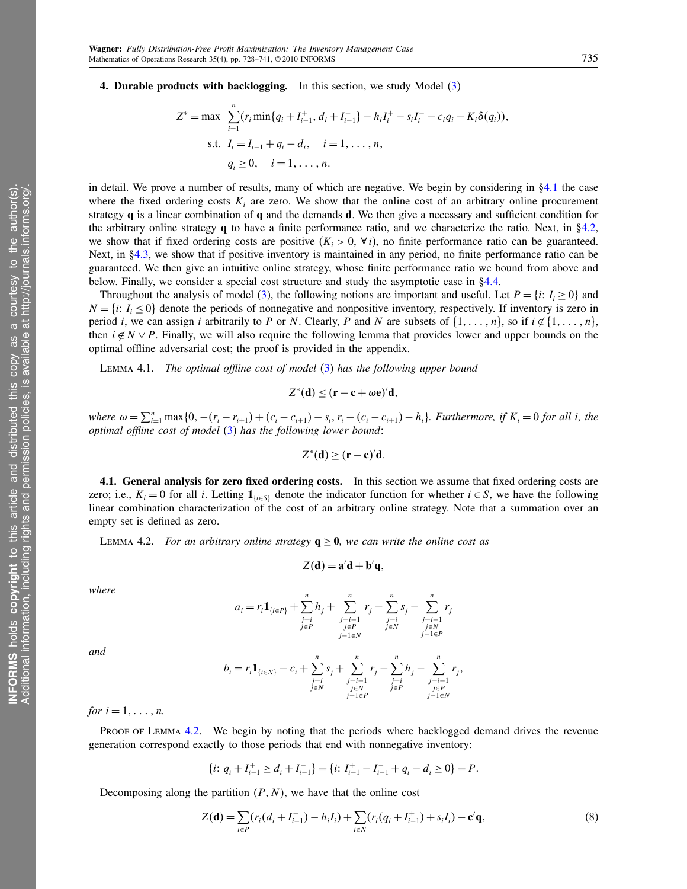$$
Z^* = \max \sum_{i=1}^n (r_i \min\{q_i + I_{i-1}^+, d_i + I_{i-1}^- \} - h_i I_i^+ - s_i I_i^- - c_i q_i - K_i \delta(q_i)),
$$
  
s.t.  $I_i = I_{i-1} + q_i - d_i, \quad i = 1, ..., n,$   
 $q_i \ge 0, \quad i = 1, ..., n.$ 

<span id="page-7-0"></span>in detail. We prove a number of results, many of which are negative. We begin by considering in §4.1 the case where the fixed ordering costs  $K_i$  are zero. We show that the online cost of an arbitrary online procurement strategy  $q$  is a linear combination of  $q$  and the demands  $d$ . We then give a necessary and sufficient condition for the arbitrary online strategy q to have a finite performance ratio, and we characterize the ratio. Next, in [§4.2,](#page-9-0) we show that if fixed ordering costs are positive  $(K_i > 0, \forall i)$ , no finite performance ratio can be guaranteed. Next, in [§4.3,](#page-10-0) we show that if positive inventory is maintained in any period, no finite performance ratio can be guaranteed. We then give an intuitive online strategy, whose finite performance ratio we bound from above and below. Finally, we consider a special cost structure and study the asymptotic case in [§4.4.](#page-10-0)

Throughout the analysis of model [\(3\)](#page-3-0), the following notions are important and useful. Let  $P = \{i : I_i \ge 0\}$  and  $N = \{i: I_i \leq 0\}$  denote the periods of nonnegative and nonpositive inventory, respectively. If inventory is zero in period *i*, we can assign *i* arbitrarily to P or N. Clearly, P and N are subsets of  $\{1, \ldots, n\}$ , so if  $i \notin \{1, \ldots, n\}$ , then  $i \notin N \vee P$ . Finally, we will also require the following lemma that provides lower and upper bounds on the optimal offline adversarial cost; the proof is provided in the appendix.

LEMMA 4.1. The optimal offline cost of model  $(3)$  has the following upper bound

$$
Z^*(\mathbf{d}) \leq (\mathbf{r} - \mathbf{c} + \omega \mathbf{e})' \mathbf{d},
$$

where  $\omega = \sum_{i=1}^{n} \max\{0, -(r_i - r_{i+1}) + (c_i - c_{i+1}) - s_i, r_i - (c_i - c_{i+1}) - h_i\}$ . Furthermore, if  $K_i = 0$  for all i, the optimal offline cost of model [\(3\)](#page-3-0) has the following lower bound:

$$
Z^*(\mathbf{d}) \geq (\mathbf{r} - \mathbf{c})' \mathbf{d}.
$$

4.1. General analysis for zero fixed ordering costs. In this section we assume that fixed ordering costs are zero; i.e.,  $K_i = 0$  for all i. Letting  $\mathbf{1}_{\{i \in S\}}$  denote the indicator function for whether  $i \in S$ , we have the following linear combination characterization of the cost of an arbitrary online strategy. Note that a summation over an empty set is defined as zero.

LEMMA 4.2. For an arbitrary online strategy  $q \ge 0$ , we can write the online cost as

$$
Z(\mathbf{d}) = \mathbf{a}'\mathbf{d} + \mathbf{b}'\mathbf{q},
$$

where

$$
a_i = r_i \mathbf{1}_{\{i \in P\}} + \sum_{\substack{j=i \ j \in P}}^n h_j + \sum_{\substack{j=i-1 \ j \in P}}^n r_j - \sum_{\substack{j=i \ j \in N}}^n s_j - \sum_{\substack{j=i-1 \ j \in N}}^n r_j
$$
  

$$
j - 1 \in N
$$

and

$$
b_i = r_i \mathbf{1}_{\{i \in N\}} - c_i + \sum_{\substack{j=i \ j \in N}}^n s_j + \sum_{\substack{j=i-1 \ j \in N}}^n r_j - \sum_{\substack{j=i \ j \in P}}^n h_j - \sum_{\substack{j=i-1 \ j \in P}}^n r_j,
$$

for  $i = 1, \ldots, n$ .

Proof of Lemma 4.2. We begin by noting that the periods where backlogged demand drives the revenue generation correspond exactly to those periods that end with nonnegative inventory:

$$
\{i\colon q_i + I_{i-1}^+ \geq d_i + I_{i-1}^-\} = \{i\colon I_{i-1}^+ - I_{i-1}^- + q_i - d_i \geq 0\} = P.
$$

Decomposing along the partition  $(P, N)$ , we have that the online cost

$$
Z(\mathbf{d}) = \sum_{i \in P} (r_i(d_i + I_{i-1}^-) - h_i I_i) + \sum_{i \in N} (r_i(q_i + I_{i-1}^+) + s_i I_i) - \mathbf{c}' \mathbf{q},
$$
\n(8)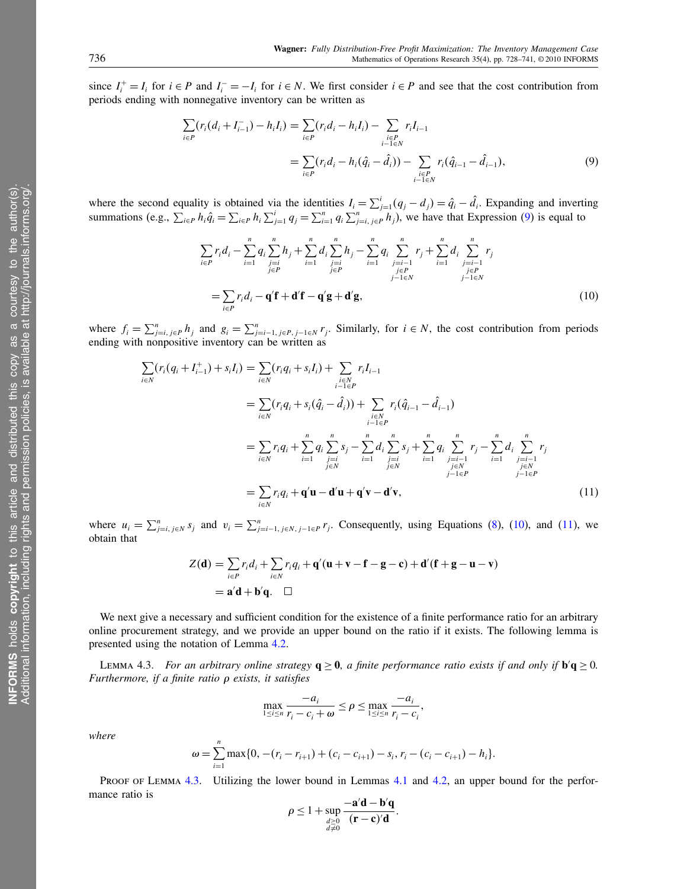<span id="page-8-0"></span>since  $I_i^+ = I_i$  for  $i \in P$  and  $I_i^- = -I_i$  for  $i \in N$ . We first consider  $i \in P$  and see that the cost contribution from periods ending with nonnegative inventory can be written as

$$
\sum_{i \in P} (r_i(d_i + I_{i-1}^-) - h_i I_i) = \sum_{i \in P} (r_i d_i - h_i I_i) - \sum_{\substack{i \in P \\ i-1 \in N}} r_i I_{i-1}
$$
\n
$$
= \sum_{i \in P} (r_i d_i - h_i(\hat{q}_i - \hat{d}_i)) - \sum_{\substack{i \in P \\ i-1 \in N}} r_i(\hat{q}_{i-1} - \hat{d}_{i-1}), \tag{9}
$$

where the second equality is obtained via the identities  $I_i = \sum_{j=1}^{i} (q_j - d_j) = \hat{q}_i - \hat{d}_i$ . Expanding and inverting summations (e.g.,  $\sum_{i \in P} h_i \hat{q}_i = \sum_{i \in P} h_i \sum_{j=1}^i q_j = \sum_{i=1}^n q_i \sum_{j=i, j \in P}^n h_j$ ), we have that Expression (9) is equal to

$$
\sum_{i \in P} r_i d_i - \sum_{i=1}^n q_i \sum_{\substack{j=i \ j \in P}}^n h_j + \sum_{i=1}^n d_i \sum_{\substack{j=i \ j \in P}}^n h_j - \sum_{i=1}^n q_i \sum_{\substack{j=i-1 \ j \in P}}^n r_j + \sum_{i=1}^n d_i \sum_{\substack{j=i-1 \ j \in P}}^n r_j
$$
\n
$$
= \sum_{i \in P} r_i d_i - \mathbf{q}' \mathbf{f} + \mathbf{d}' \mathbf{f} - \mathbf{q}' \mathbf{g} + \mathbf{d}' \mathbf{g},
$$
\n(10)

where  $f_i = \sum_{j=i, j \in P}^n h_j$  and  $g_i = \sum_{j=i-1, j \in P, j-1 \in N}^n r_j$ . Similarly, for  $i \in N$ , the cost contribution from periods ending with nonpositive inventory can be written as

$$
\sum_{i \in N} (r_i(q_i + I_{i-1}^+) + s_i I_i) = \sum_{i \in N} (r_i q_i + s_i I_i) + \sum_{\substack{i \in N \\ i-1 \in P}} r_i I_{i-1}
$$
\n
$$
= \sum_{i \in N} (r_i q_i + s_i (\hat{q}_i - \hat{d}_i)) + \sum_{\substack{i \in N \\ i-1 \in P}} r_i (\hat{q}_{i-1} - \hat{d}_{i-1})
$$
\n
$$
= \sum_{i \in N} r_i q_i + \sum_{i=1}^n q_i \sum_{\substack{j=i \\ j \in N}}^n s_j - \sum_{i=1}^n d_i \sum_{\substack{j=i \\ j \in N}}^n s_j + \sum_{i=1}^n q_i \sum_{\substack{j=i-1 \\ j \in N}}^n r_j - \sum_{\substack{j=i-1 \\ j \in N}}^n d_i \sum_{\substack{j=i-1 \\ j \in N}}^n r_j
$$
\n
$$
= \sum_{i \in N} r_i q_i + \mathbf{q}' \mathbf{u} - \mathbf{d}' \mathbf{u} + \mathbf{q}' \mathbf{v} - \mathbf{d}' \mathbf{v}, \tag{11}
$$

where  $u_i = \sum_{j=i, j \in N}^n s_j$  and  $v_i = \sum_{j=i-1, j \in N, j-1 \in P}^n r_j$ . Consequently, using Equations [\(8\)](#page-7-0), (10), and (11), we obtain that

$$
Z(\mathbf{d}) = \sum_{i \in P} r_i d_i + \sum_{i \in N} r_i q_i + \mathbf{q}'(\mathbf{u} + \mathbf{v} - \mathbf{f} - \mathbf{g} - \mathbf{c}) + \mathbf{d}'(\mathbf{f} + \mathbf{g} - \mathbf{u} - \mathbf{v})
$$
  
=  $\mathbf{a}'\mathbf{d} + \mathbf{b}'\mathbf{q}$ .

We next give a necessary and sufficient condition for the existence of a finite performance ratio for an arbitrary online procurement strategy, and we provide an upper bound on the ratio if it exists. The following lemma is presented using the notation of Lemma [4.2.](#page-7-0)

LEMMA 4.3. For an arbitrary online strategy  $q \ge 0$ , a finite performance ratio exists if and only if  $b'q \ge 0$ . Furthermore, if a finite ratio  $\rho$  exists, it satisfies

$$
\max_{1 \le i \le n} \frac{-a_i}{r_i - c_i + \omega} \le \rho \le \max_{1 \le i \le n} \frac{-a_i}{r_i - c_i},
$$

where

$$
\omega = \sum_{i=1}^n \max\{0, -(r_i - r_{i+1}) + (c_i - c_{i+1}) - s_i, r_i - (c_i - c_{i+1}) - h_i\}.
$$

PROOF OF LEMMA 4.3. Utilizing the lower bound in Lemmas [4.1](#page-7-0) and [4.2,](#page-7-0) an upper bound for the performance ratio is  $\ell$  a  $\ell$ 

$$
\rho \leq 1 + \sup_{\substack{d \geq 0 \\ d \neq 0}} \frac{-\mathbf{a}'\mathbf{d} - \mathbf{b}'\mathbf{q}}{(\mathbf{r} - \mathbf{c})'\mathbf{d}}.
$$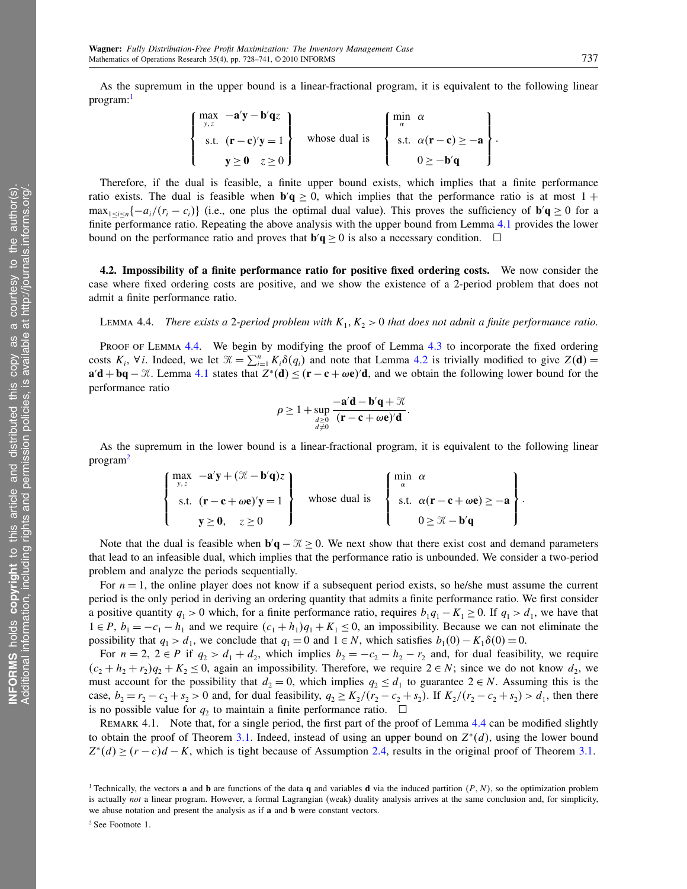<span id="page-9-0"></span>As the supremum in the upper bound is a linear-fractional program, it is equivalent to the following linear program:

$$
\begin{cases}\n\max_{y,z} & -a'y - b'qz \\
s.t. & (\mathbf{r} - \mathbf{c})'y = 1 \\
y \ge 0 & z \ge 0\n\end{cases}\n\text{ whose dual is }\n\begin{cases}\n\min_{\alpha} & \alpha \\
s.t. & \alpha(\mathbf{r} - \mathbf{c}) \ge -\mathbf{a} \\
0 \ge -b'q\n\end{cases}.
$$

Therefore, if the dual is feasible, a finite upper bound exists, which implies that a finite performance ratio exists. The dual is feasible when  $\mathbf{b}'\mathbf{q} \geq 0$ , which implies that the performance ratio is at most  $1 +$  $\max_{1 \le i \le n} \{-a_i/(r_i - c_i)\}\$  (i.e., one plus the optimal dual value). This proves the sufficiency of  $\mathbf{b}'\mathbf{q} \ge 0$  for a finite performance ratio. Repeating the above analysis with the upper bound from Lemma [4.1](#page-7-0) provides the lower bound on the performance ratio and proves that  $\mathbf{b}'\mathbf{q} \ge 0$  is also a necessary condition.  $\Box$ 

4.2. Impossibility of a finite performance ratio for positive fixed ordering costs. We now consider the case where fixed ordering costs are positive, and we show the existence of a 2-period problem that does not admit a finite performance ratio.

## LEMMA 4.4. There exists a 2-period problem with  $K_1, K_2 > 0$  that does not admit a finite performance ratio.

PROOF OF LEMMA 4.4. We begin by modifying the proof of Lemma [4.3](#page-8-0) to incorporate the fixed ordering costs  $K_i$ ,  $\forall i$ . Indeed, we let  $\mathcal{K} = \sum_{i=1}^n K_i \delta(q_i)$  and note that Lemma [4.2](#page-7-0) is trivially modified to give  $Z(\mathbf{d}) =$  $\mathbf{a}'\mathbf{d} + \mathbf{b}\mathbf{q} - \mathcal{K}$ . Lemma [4.1](#page-7-0) states that  $Z^*(\mathbf{d}) \le (\mathbf{r} - \mathbf{c} + \omega \mathbf{e})' \mathbf{d}$ , and we obtain the following lower bound for the performance ratio

$$
\rho \geq 1 + \sup_{\substack{d \geq 0 \\ d \neq 0}} \frac{-\mathbf{a}'\mathbf{d} - \mathbf{b}'\mathbf{q} + \mathcal{K}}{(\mathbf{r} - \mathbf{c} + \omega \mathbf{e})'\mathbf{d}}.
$$

As the supremum in the lower bound is a linear-fractional program, it is equivalent to the following linear program2

$$
\begin{cases}\n\max_{y,z} -\mathbf{a}^{\prime}\mathbf{y} + (\mathcal{K} - \mathbf{b}^{\prime}\mathbf{q})z \\
\text{s.t. } (\mathbf{r} - \mathbf{c} + \omega \mathbf{e})^{\prime}\mathbf{y} = 1 \\
\mathbf{y} \geq \mathbf{0}, \quad z \geq 0\n\end{cases}\n\text{ whose dual is }\n\begin{cases}\n\min_{\alpha} \alpha \\
\text{s.t. } \alpha(\mathbf{r} - \mathbf{c} + \omega \mathbf{e}) \geq -\mathbf{a} \\
0 \geq \mathcal{K} - \mathbf{b}^{\prime}\mathbf{q}\n\end{cases}.
$$

Note that the dual is feasible when  $\mathbf{b}'\mathbf{q} - \mathcal{X} \ge 0$ . We next show that there exist cost and demand parameters that lead to an infeasible dual, which implies that the performance ratio is unbounded. We consider a two-period problem and analyze the periods sequentially.

For  $n = 1$ , the online player does not know if a subsequent period exists, so he/she must assume the current period is the only period in deriving an ordering quantity that admits a finite performance ratio. We first consider a positive quantity  $q_1 > 0$  which, for a finite performance ratio, requires  $b_1q_1 - K_1 \ge 0$ . If  $q_1 > d_1$ , we have that  $1 \in P$ ,  $b_1 = -c_1 - h_1$  and we require  $(c_1 + h_1)q_1 + K_1 \leq 0$ , an impossibility. Because we can not eliminate the possibility that  $q_1 > d_1$ , we conclude that  $q_1 = 0$  and  $1 \in N$ , which satisfies  $b_1(0) - K_1\delta(0) = 0$ .

For  $n = 2$ ,  $2 \in P$  if  $q_2 > d_1 + d_2$ , which implies  $b_2 = -c_2 - h_2 - r_2$  and, for dual feasibility, we require  $(c_2 + h_2 + r_2)q_2 + K_2 \leq 0$ , again an impossibility. Therefore, we require  $2 \in N$ ; since we do not know  $d_2$ , we must account for the possibility that  $d_2 = 0$ , which implies  $q_2 \leq d_1$  to guarantee  $2 \in N$ . Assuming this is the case,  $b_2 = r_2 - c_2 + s_2 > 0$  and, for dual feasibility,  $q_2 \ge K_2/(r_2 - c_2 + s_2)$ . If  $K_2/(r_2 - c_2 + s_2) > d_1$ , then there is no possible value for  $q_2$  to maintain a finite performance ratio.  $\Box$ 

REMARK 4.1. Note that, for a single period, the first part of the proof of Lemma 4.4 can be modified slightly to obtain the proof of Theorem [3.1.](#page-4-0) Indeed, instead of using an upper bound on  $Z^*(d)$ , using the lower bound  $Z^*(d) \ge (r - c)d - K$ , which is tight because of Assumption [2.4,](#page-3-0) results in the original proof of Theorem [3.1.](#page-4-0)

<sup>2</sup> See Footnote 1.

<sup>&</sup>lt;sup>1</sup> Technically, the vectors **a** and **b** are functions of the data q and variables **d** via the induced partition  $(P, N)$ , so the optimization problem is actually not a linear program. However, a formal Lagrangian (weak) duality analysis arrives at the same conclusion and, for simplicity, we abuse notation and present the analysis as if **a** and **b** were constant vectors.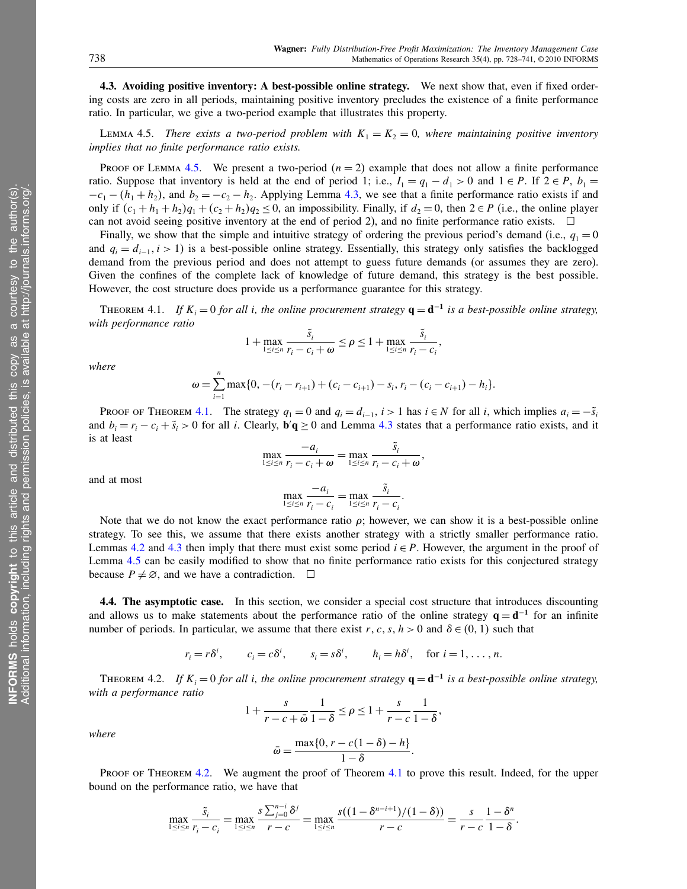<span id="page-10-0"></span>4.3. Avoiding positive inventory: A best-possible online strategy. We next show that, even if fixed ordering costs are zero in all periods, maintaining positive inventory precludes the existence of a finite performance ratio. In particular, we give a two-period example that illustrates this property.

LEMMA 4.5. There exists a two-period problem with  $K_1 = K_2 = 0$ , where maintaining positive inventory implies that no finite performance ratio exists.

PROOF OF LEMMA 4.5. We present a two-period  $(n = 2)$  example that does not allow a finite performance ratio. Suppose that inventory is held at the end of period 1; i.e.,  $I_1 = q_1 - d_1 > 0$  and  $1 \in P$ . If  $2 \in P$ ,  $b_1 =$  $-c_1 - (h_1 + h_2)$ , and  $b_2 = -c_2 - h_2$ . Applying Lemma [4.3,](#page-8-0) we see that a finite performance ratio exists if and only if  $(c_1 + h_1 + h_2)q_1 + (c_2 + h_2)q_2 \le 0$ , an impossibility. Finally, if  $d_2 = 0$ , then  $2 \in P$  (i.e., the online player can not avoid seeing positive inventory at the end of period 2), and no finite performance ratio exists.  $\Box$ 

Finally, we show that the simple and intuitive strategy of ordering the previous period's demand (i.e.,  $q_1 = 0$ ) and  $q_i = d_{i-1}, i > 1$ ) is a best-possible online strategy. Essentially, this strategy only satisfies the backlogged demand from the previous period and does not attempt to guess future demands (or assumes they are zero). Given the confines of the complete lack of knowledge of future demand, this strategy is the best possible. However, the cost structure does provide us a performance guarantee for this strategy.

THEOREM 4.1. If  $K_i = 0$  for all i, the online procurement strategy  $\mathbf{q} = \mathbf{d}^{-1}$  is a best-possible online strategy, with performance ratio

$$
1 + \max_{1 \le i \le n} \frac{\tilde{s}_i}{r_i - c_i + \omega} \le \rho \le 1 + \max_{1 \le i \le n} \frac{\tilde{s}_i}{r_i - c_i},
$$

where

$$
\omega = \sum_{i=1}^{n} \max\{0, -(r_i - r_{i+1}) + (c_i - c_{i+1}) - s_i, r_i - (c_i - c_{i+1}) - h_i\}.
$$

PROOF OF THEOREM 4.1. The strategy  $q_1 = 0$  and  $q_i = d_{i-1}$ ,  $i > 1$  has  $i \in N$  for all i, which implies  $a_i = -\tilde{s}_i$ and  $b_i = r_i - c_i + \tilde{s}_i > 0$  for all i. Clearly,  $\mathbf{b}'\mathbf{q} \ge 0$  and Lemma [4.3](#page-8-0) states that a performance ratio exists, and it is at least

$$
\max_{1 \le i \le n} \frac{-a_i}{r_i - c_i + \omega} = \max_{1 \le i \le n} \frac{\tilde{s}_i}{r_i - c_i + \omega},
$$

$$
\max_{1 \le i \le n} \frac{-a_i}{r_i - c_i} = \max_{1 \le i \le n} \frac{\tilde{s}_i}{r_i - c_i}.
$$

and at most

where

Note that we do not know the exact performance ratio 
$$
\rho
$$
; however, we can show it is a best-possible online  
strategy. To see this, we assume that there exists another strategy with a strictly smaller performance ratio.  
 Lemmas 4.2 and 4.3 then imply that there must exist some period  $i \in P$ . However, the argument in the proof of  
Lemma 4.5 can be easily modified to show that no finite performance ratio exists for this conjectured strategy  
because  $P \neq \emptyset$ , and we have a contradiction.  $\square$ 

4.4. The asymptotic case. In this section, we consider a special cost structure that introduces discounting and allows us to make statements about the performance ratio of the online strategy  $q = d^{-1}$  for an infinite number of periods. In particular, we assume that there exist r, c, s,  $h > 0$  and  $\delta \in (0, 1)$  such that

$$
r_i = r\delta^i
$$
,  $c_i = c\delta^i$ ,  $s_i = s\delta^i$ ,  $h_i = h\delta^i$ , for  $i = 1, ..., n$ .

THEOREM 4.2. If  $K_i = 0$  for all i, the online procurement strategy  $\mathbf{q} = \mathbf{d}^{-1}$  is a best-possible online strategy, with a performance ratio

$$
1 + \frac{s}{r - c + \bar{\omega}} \frac{1}{1 - \delta} \le \rho \le 1 + \frac{s}{r - c} \frac{1}{1 - \delta},
$$
  

$$
\max\{0, r, \sigma(1 - \delta), \delta\}
$$

 $\bar{\omega} = \frac{\max\{0, r - c(1 - \delta) - h\}}{1 - \delta}.$ 

PROOF OF THEOREM 4.2. We augment the proof of Theorem 4.1 to prove this result. Indeed, for the upper bound on the performance ratio, we have that

$$
\max_{1 \le i \le n} \frac{\tilde{s}_i}{r_i - c_i} = \max_{1 \le i \le n} \frac{s \sum_{j=0}^{n-i} \delta^j}{r - c} = \max_{1 \le i \le n} \frac{s((1 - \delta^{n-i+1})/(1 - \delta))}{r - c} = \frac{s}{r - c} \frac{1 - \delta^n}{1 - \delta}.
$$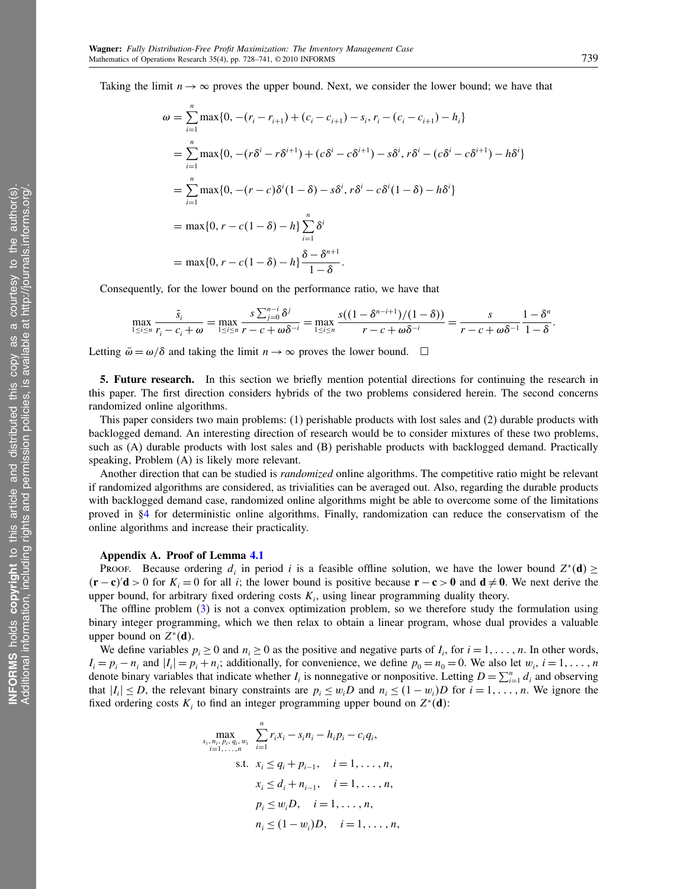Taking the limit  $n \to \infty$  proves the upper bound. Next, we consider the lower bound; we have that

$$
\omega = \sum_{i=1}^{n} \max\{0, -(r_i - r_{i+1}) + (c_i - c_{i+1}) - s_i, r_i - (c_i - c_{i+1}) - h_i\}
$$
  
\n
$$
= \sum_{i=1}^{n} \max\{0, -(r\delta^i - r\delta^{i+1}) + (c\delta^i - c\delta^{i+1}) - s\delta^i, r\delta^i - (c\delta^i - c\delta^{i+1}) - h\delta^i\}
$$
  
\n
$$
= \sum_{i=1}^{n} \max\{0, -(r - c)\delta^i(1 - \delta) - s\delta^i, r\delta^i - c\delta^i(1 - \delta) - h\delta^i\}
$$
  
\n
$$
= \max\{0, r - c(1 - \delta) - h\} \sum_{i=1}^{n} \delta^i
$$
  
\n
$$
= \max\{0, r - c(1 - \delta) - h\} \frac{\delta - \delta^{n+1}}{1 - \delta}.
$$

Consequently, for the lower bound on the performance ratio, we have that

$$
\max_{1 \le i \le n} \frac{\tilde{s}_i}{r_i - c_i + \omega} = \max_{1 \le i \le n} \frac{s \sum_{j=0}^{n-i} \delta^j}{r - c + \omega \delta^{-i}} = \max_{1 \le i \le n} \frac{s((1 - \delta^{n-i+1})/(1 - \delta))}{r - c + \omega \delta^{-i}} = \frac{s}{r - c + \omega \delta^{-1}} \frac{1 - \delta^n}{1 - \delta}.
$$

Letting  $\bar{\omega} = \omega/\delta$  and taking the limit  $n \to \infty$  proves the lower bound.  $\Box$ 

5. Future research. In this section we briefly mention potential directions for continuing the research in this paper. The first direction considers hybrids of the two problems considered herein. The second concerns randomized online algorithms.

This paper considers two main problems: (1) perishable products with lost sales and (2) durable products with backlogged demand. An interesting direction of research would be to consider mixtures of these two problems, such as (A) durable products with lost sales and (B) perishable products with backlogged demand. Practically speaking, Problem (A) is likely more relevant.

Another direction that can be studied is randomized online algorithms. The competitive ratio might be relevant if randomized algorithms are considered, as trivialities can be averaged out. Also, regarding the durable products with backlogged demand case, randomized online algorithms might be able to overcome some of the limitations proved in [§4](#page-7-0) for deterministic online algorithms. Finally, randomization can reduce the conservatism of the online algorithms and increase their practicality.

### Appendix A. Proof of Lemma [4.1](#page-7-0)

Proof. Because ordering  $d_i$  in period i is a feasible offline solution, we have the lower bound  $Z^*(d) \ge$  $(\mathbf{r} - \mathbf{c})' \mathbf{d} > 0$  for  $K_i = 0$  for all i; the lower bound is positive because  $\mathbf{r} - \mathbf{c} > 0$  and  $\mathbf{d} \neq 0$ . We next derive the upper bound, for arbitrary fixed ordering costs  $K_i$ , using linear programming duality theory.

The offline problem [\(3\)](#page-3-0) is not a convex optimization problem, so we therefore study the formulation using binary integer programming, which we then relax to obtain a linear program, whose dual provides a valuable upper bound on  $Z^*(d)$ .

We define variables  $p_i \ge 0$  and  $n_i \ge 0$  as the positive and negative parts of  $I_i$ , for  $i = 1, \ldots, n$ . In other words,  $I_i = p_i - n_i$  and  $|I_i| = p_i + n_i$ ; additionally, for convenience, we define  $p_0 = n_0 = 0$ . We also let  $w_i$ ,  $i = 1, \ldots, n$ denote binary variables that indicate whether  $I_i$  is nonnegative or nonpositive. Letting  $D = \sum_{i=1}^{n} d_i$  and observing that  $|I_i| \leq D$ , the relevant binary constraints are  $p_i \leq w_i D$  and  $n_i \leq (1 - w_i)D$  for  $i = 1, \ldots, n$ . We ignore the fixed ordering costs  $K_i$  to find an integer programming upper bound on  $Z^*(d)$ :

$$
\max_{\substack{x_i, n_i, p_i, q_i, w_i \\ i=1, ..., n}} \sum_{i=1}^n r_i x_i - s_i n_i - h_i p_i - c_i q_i,
$$
\n
$$
\text{s.t. } x_i \le q_i + p_{i-1}, \quad i = 1, ..., n,
$$
\n
$$
x_i \le d_i + n_{i-1}, \quad i = 1, ..., n,
$$
\n
$$
p_i \le w_i D, \quad i = 1, ..., n,
$$
\n
$$
n_i \le (1 - w_i) D, \quad i = 1, ..., n,
$$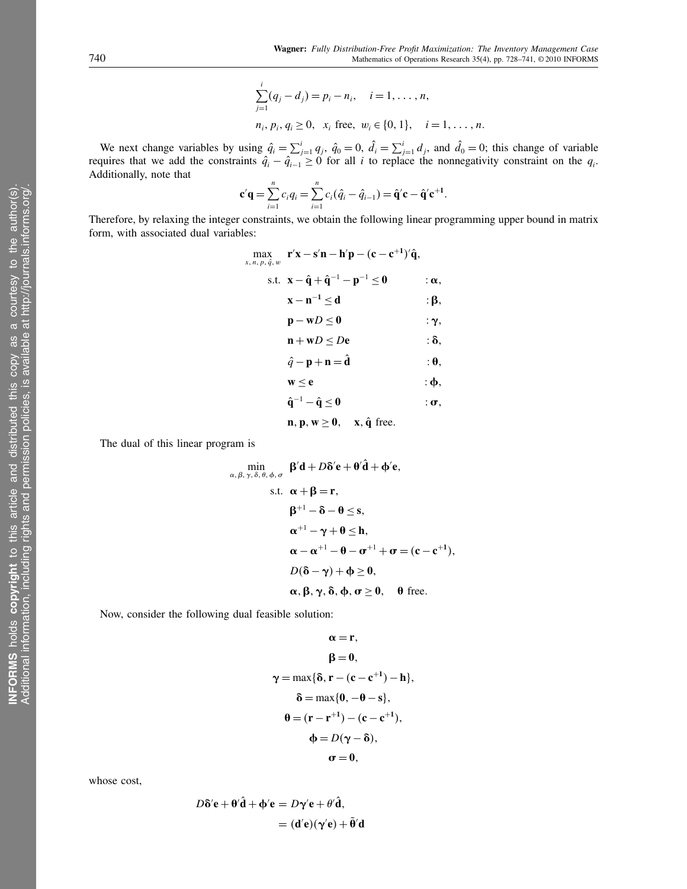$$
\sum_{j=1}^{i} (q_j - d_j) = p_i - n_i, \quad i = 1, ..., n,
$$
  
\n
$$
n_i, p_i, q_i \ge 0, \quad x_i \text{ free}, \quad w_i \in \{0, 1\}, \quad i = 1, ..., n.
$$

We next change variables by using  $\hat{q}_i = \sum_{j=1}^i q_j$ ,  $\hat{q}_0 = 0$ ,  $\hat{d}_i = \sum_{j=1}^i d_j$ , and  $\hat{d}_0 = 0$ ; this change of variable requires that we add the constraints  $\hat{q}_i - \hat{q}_{i-1} \ge 0$  for all i to replace the nonnegativity constraint on the  $q_i$ . Additionally, note that

$$
\mathbf{c}'\mathbf{q} = \sum_{i=1}^n c_i q_i = \sum_{i=1}^n c_i (\hat{q}_i - \hat{q}_{i-1}) = \hat{\mathbf{q}}' \mathbf{c} - \hat{\mathbf{q}}' \mathbf{c}^{+1}.
$$

Therefore, by relaxing the integer constraints, we obtain the following linear programming upper bound in matrix form, with associated dual variables:

> $\max_{x, n, p, \hat{q}, w} \mathbf{r}'\mathbf{x} - \mathbf{s}'\mathbf{n} - \mathbf{h}'\mathbf{p} - (\mathbf{c} - \mathbf{c}^{+1})'\hat{\mathbf{q}},$ s.t.  $x - \hat{q} + \hat{q}^{-1} - p^{-1} \le 0$  :  $\alpha$ ,  $x - n^{-1} \le d$  $:\boldsymbol{\beta},$  $p - wD \leq 0$  :  $\gamma$ ,  $\mathbf{n} + \mathbf{w}D \leq D\mathbf{e}$  :  $\delta$ ,  $\hat{q} - \mathbf{p} + \mathbf{n} = \hat{\mathbf{d}}$  :  $\theta$ ,  $w \le e$  :  $\phi$ ,  $\hat{\mathbf{q}}^{-1} - \hat{\mathbf{q}} \leq \mathbf{0}$  :  $\mathbf{\sigma}$ ,  $n, p, w \ge 0$ , x,  $\hat{q}$  free.

The dual of this linear program is

$$
\min_{\alpha, \beta, \gamma, \delta, \theta, \phi, \sigma} \beta' \mathbf{d} + D \delta' \mathbf{e} + \theta' \hat{\mathbf{d}} + \phi' \mathbf{e},
$$
\n
$$
\text{s.t. } \alpha + \beta = \mathbf{r},
$$
\n
$$
\beta^{+1} - \delta - \theta \le \mathbf{s},
$$
\n
$$
\alpha^{+1} - \gamma + \theta \le \mathbf{h},
$$
\n
$$
\alpha - \alpha^{+1} - \theta - \sigma^{+1} + \sigma = (\mathbf{c} - \mathbf{c}^{+1}),
$$
\n
$$
D(\delta - \gamma) + \phi \ge 0,
$$
\n
$$
\alpha, \beta, \gamma, \delta, \phi, \sigma \ge 0, \quad \theta \text{ free.}
$$

Now, consider the following dual feasible solution:

$$
\alpha = r,
$$
  
\n
$$
\beta = 0,
$$
  
\n
$$
\gamma = \max{\delta, r - (c - c^{+1}) - h},
$$
  
\n
$$
\delta = \max{0, -\theta - s},
$$
  
\n
$$
\theta = (r - r^{+1}) - (c - c^{+1}),
$$
  
\n
$$
\phi = D(\gamma - \delta),
$$
  
\n
$$
\sigma = 0,
$$

whose cost,

$$
D\delta' \mathbf{e} + \mathbf{\theta}' \mathbf{d} + \mathbf{\phi}' \mathbf{e} = D\mathbf{\gamma}' \mathbf{e} + \theta' \mathbf{d},
$$
  
=  $(\mathbf{d}'\mathbf{e})(\mathbf{\gamma}'\mathbf{e}) + \tilde{\mathbf{\theta}}' \mathbf{d}$